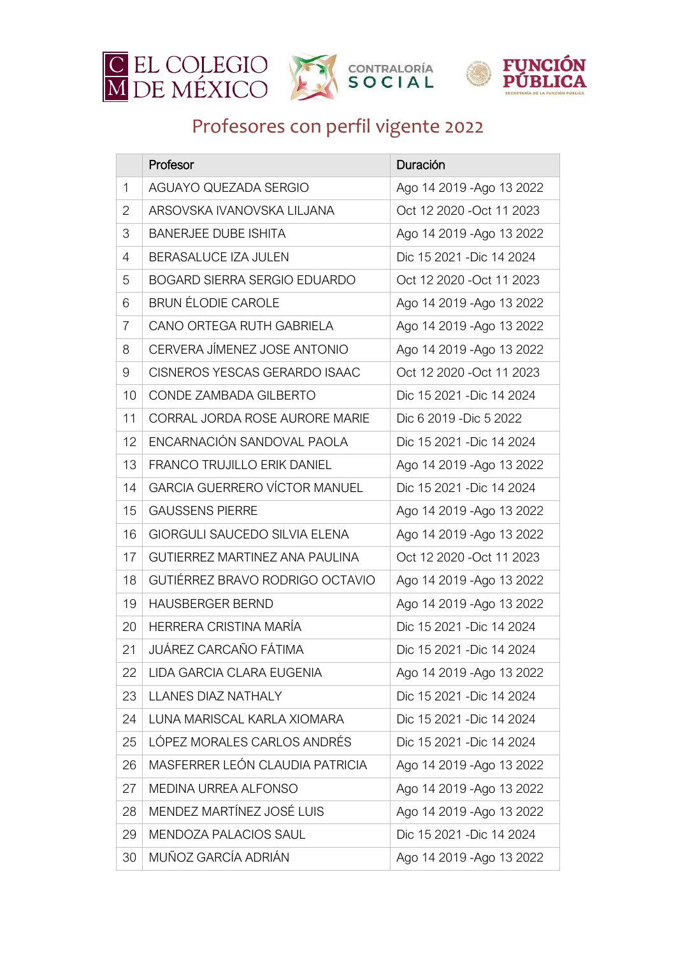

## Profesores con perfil vigente 2022

|              | Profesor                              | Duración                  |
|--------------|---------------------------------------|---------------------------|
| $\mathbf{1}$ | AGUAYO QUEZADA SERGIO                 | Ago 14 2019 - Ago 13 2022 |
| 2            | ARSOVSKA IVANOVSKA LILJANA            | Oct 12 2020 - Oct 11 2023 |
| 3            | <b>BANERJEE DUBE ISHITA</b>           | Ago 14 2019 - Ago 13 2022 |
| 4            | BERASALUCE IZA JULEN                  | Dic 15 2021 - Dic 14 2024 |
| 5            | <b>BOGARD SIERRA SERGIO EDUARDO</b>   | Oct 12 2020 - Oct 11 2023 |
| 6            | <b>BRUN ÉLODIE CAROLE</b>             | Ago 14 2019 - Ago 13 2022 |
| 7            | CANO ORTEGA RUTH GABRIELA             | Ago 14 2019 - Ago 13 2022 |
| 8            | CERVERA JÍMENEZ JOSE ANTONIO          | Ago 14 2019 - Ago 13 2022 |
| 9            | <b>CISNEROS YESCAS GERARDO ISAAC</b>  | Oct 12 2020 - Oct 11 2023 |
| 10           | CONDE ZAMBADA GILBERTO                | Dic 15 2021 - Dic 14 2024 |
| 11           | <b>CORRAL JORDA ROSE AURORE MARIE</b> | Dic 6 2019 - Dic 5 2022   |
| 12           | ENCARNACIÓN SANDOVAL PAOLA            | Dic 15 2021 - Dic 14 2024 |
| 13           | <b>FRANCO TRUJILLO ERIK DANIEL</b>    | Ago 14 2019 - Ago 13 2022 |
| 14           | <b>GARCIA GUERRERO VÍCTOR MANUEL</b>  | Dic 15 2021 - Dic 14 2024 |
| 15           | <b>GAUSSENS PIERRE</b>                | Ago 14 2019 - Ago 13 2022 |
| 16           | GIORGULI SAUCEDO SILVIA ELENA         | Ago 14 2019 - Ago 13 2022 |
| 17           | <b>GUTIERREZ MARTINEZ ANA PAULINA</b> | Oct 12 2020 - Oct 11 2023 |
| 18           | GUTIÉRREZ BRAVO RODRIGO OCTAVIO       | Ago 14 2019 - Ago 13 2022 |
| 19           | <b>HAUSBERGER BERND</b>               | Ago 14 2019 - Ago 13 2022 |
| 20           | HERRERA CRISTINA MARÍA                | Dic 15 2021 - Dic 14 2024 |
| 21           | JUÁREZ CARCAÑO FÁTIMA                 | Dic 15 2021 - Dic 14 2024 |
| 22           | LIDA GARCIA CLARA EUGENIA             | Ago 14 2019 - Ago 13 2022 |
| 23           | <b>LLANES DIAZ NATHALY</b>            | Dic 15 2021 - Dic 14 2024 |
| 24           | LUNA MARISCAL KARLA XIOMARA           | Dic 15 2021 - Dic 14 2024 |
| 25           | LÓPEZ MORALES CARLOS ANDRÉS           | Dic 15 2021 - Dic 14 2024 |
| 26           | MASFERRER LEÓN CLAUDIA PATRICIA       | Ago 14 2019 - Ago 13 2022 |
| 27           | <b>MEDINA URREA ALFONSO</b>           | Ago 14 2019 - Ago 13 2022 |
| 28           | MENDEZ MARTÍNEZ JOSÉ LUIS             | Ago 14 2019 - Ago 13 2022 |
| 29           | MENDOZA PALACIOS SAUL                 | Dic 15 2021 - Dic 14 2024 |
| 30           | MUÑOZ GARCÍA ADRIÁN                   | Ago 14 2019 - Ago 13 2022 |